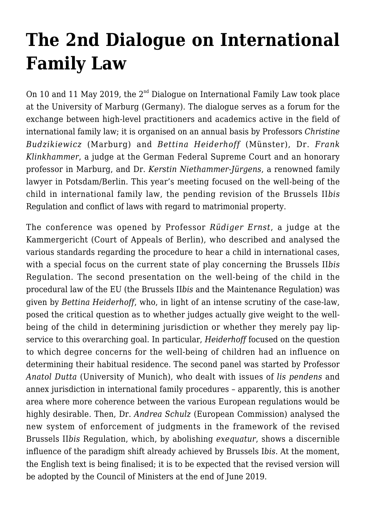## **[The 2nd Dialogue on International](https://conflictoflaws.net/2019/the-2nd-dialogue-on-international-family-law/) [Family Law](https://conflictoflaws.net/2019/the-2nd-dialogue-on-international-family-law/)**

On 10 and 11 May 2019, the  $2^{nd}$  Dialogue on International Family Law took place at the University of Marburg (Germany). The dialogue serves as a forum for the exchange between high-level practitioners and academics active in the field of international family law; it is organised on an annual basis by Professors *Christine Budzikiewicz* (Marburg) and *Bettina Heiderhoff* (Münster), Dr. *Frank Klinkhammer*, a judge at the German Federal Supreme Court and an honorary professor in Marburg, and Dr. *Kerstin Niethammer-Jürgens*, a renowned family lawyer in Potsdam/Berlin. This year's meeting focused on the well-being of the child in international family law, the pending revision of the Brussels II*bis* Regulation and conflict of laws with regard to matrimonial property.

The conference was opened by Professor *Rüdiger Ernst*, a judge at the Kammergericht (Court of Appeals of Berlin), who described and analysed the various standards regarding the procedure to hear a child in international cases, with a special focus on the current state of play concerning the Brussels II*bis* Regulation. The second presentation on the well-being of the child in the procedural law of the EU (the Brussels II*bis* and the Maintenance Regulation) was given by *Bettina Heiderhoff*, who, in light of an intense scrutiny of the case-law, posed the critical question as to whether judges actually give weight to the wellbeing of the child in determining jurisdiction or whether they merely pay lipservice to this overarching goal. In particular, *Heiderhoff* focused on the question to which degree concerns for the well-being of children had an influence on determining their habitual residence. The second panel was started by Professor *Anatol Dutta* (University of Munich), who dealt with issues of *lis pendens* and annex jurisdiction in international family procedures – apparently, this is another area where more coherence between the various European regulations would be highly desirable. Then, Dr. *Andrea Schulz* (European Commission) analysed the new system of enforcement of judgments in the framework of the revised Brussels II*bis* Regulation, which, by abolishing *exequatur*, shows a discernible influence of the paradigm shift already achieved by Brussels I*bis*. At the moment, the English text is being finalised; it is to be expected that the revised version will be adopted by the Council of Ministers at the end of June 2019.